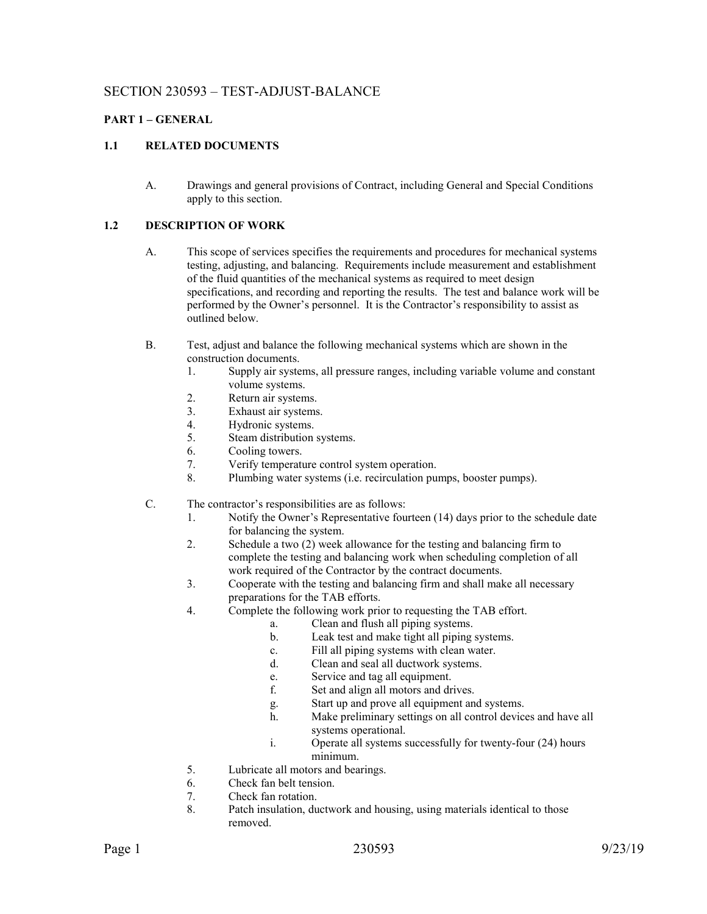# SECTION 230593 – TEST-ADJUST-BALANCE

### **PART 1 – GENERAL**

## **1.1 RELATED DOCUMENTS**

A. Drawings and general provisions of Contract, including General and Special Conditions apply to this section.

#### **1.2 DESCRIPTION OF WORK**

- A. This scope of services specifies the requirements and procedures for mechanical systems testing, adjusting, and balancing. Requirements include measurement and establishment of the fluid quantities of the mechanical systems as required to meet design specifications, and recording and reporting the results. The test and balance work will be performed by the Owner's personnel. It is the Contractor's responsibility to assist as outlined below.
- B. Test, adjust and balance the following mechanical systems which are shown in the construction documents.
	- 1. Supply air systems, all pressure ranges, including variable volume and constant volume systems.
	- 2. Return air systems.
	- 3. Exhaust air systems.
	- 4. Hydronic systems.<br>5. Steam distribution
	- Steam distribution systems.
	- 6. Cooling towers.
	- 7. Verify temperature control system operation.
	- 8. Plumbing water systems (i.e. recirculation pumps, booster pumps).
- C. The contractor's responsibilities are as follows:
	- 1. Notify the Owner's Representative fourteen (14) days prior to the schedule date for balancing the system.
	- 2. Schedule a two (2) week allowance for the testing and balancing firm to complete the testing and balancing work when scheduling completion of all work required of the Contractor by the contract documents.
	- 3. Cooperate with the testing and balancing firm and shall make all necessary preparations for the TAB efforts.
	- 4. Complete the following work prior to requesting the TAB effort.
		- a. Clean and flush all piping systems.
		- b. Leak test and make tight all piping systems.
		- c. Fill all piping systems with clean water.
		- d. Clean and seal all ductwork systems.
		- e. Service and tag all equipment.
		- f. Set and align all motors and drives.
		- g. Start up and prove all equipment and systems.
		- Make preliminary settings on all control devices and have all systems operational.
		- i. Operate all systems successfully for twenty-four (24) hours minimum.
	- 5. Lubricate all motors and bearings.
	- 6. Check fan belt tension.
	- 7. Check fan rotation.
	- 8. Patch insulation, ductwork and housing, using materials identical to those removed.